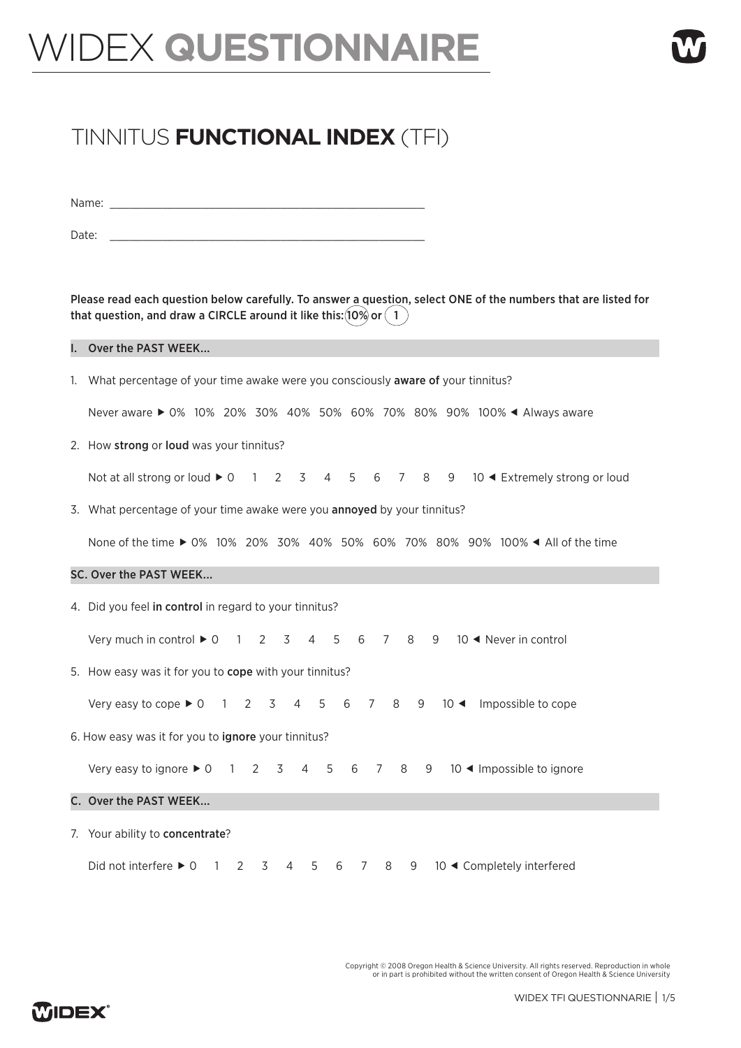# WIDEX **QUESTIONNAIRE**

# TINNITUS **FUNCTIONAL INDEX** (TFI)

Name:  $\Box$ 

Date:

Please read each question below carefully. To answer a question, select ONE of the numbers that are listed for that question, and draw a CIRCLE around it like this:  $(10\%)$  or  $(1)$ 

#### I. Over the PAST WEEK...

1. What percentage of your time awake were you consciously aware of your tinnitus?

Never aware ▶ 0% 10% 20% 30% 40% 50% 60% 70% 80% 90% 100% < Always aware

2. How strong or loud was your tinnitus?

Not at all strong or loud  $\blacktriangleright$  0  $1$  2  $3$  4  $5$  6  $7$  8  $9$  10  $\blacktriangleleft$  Extremely strong or loud

3. What percentage of your time awake were you annoyed by your tinnitus?

None of the time ▶ 0% 10% 20% 30% 40% 50% 60% 70% 80% 90% 100% ◀ All of the time

#### SC. Over the PAST WEEK...

4. Did you feel in control in regard to your tinnitus?

Very much in control  $\blacktriangleright$  0 1 2 3 4 5 6 7 8 9 10  $\blacktriangleleft$  Never in control

5. How easy was it for you to cope with your tinnitus?

Very easy to cope  $\blacktriangleright$  0  $\space$  1  $\space$  2  $\space$  3  $\space$  4  $\space$  5  $\space$  6  $\space$  7  $\space$  8  $\space$  9  $\space$  10  $\blacktriangleleft$  Impossible to cope

6. How easy was it for you to ignore your tinnitus?

Very easy to ignore  $\blacktriangleright$  0 1 2 3 4 5 6 7 8 9 10  $\blacktriangleleft$  Impossible to ignore

#### C. Over the PAST WEEK...

7. Your ability to concentrate?

Did not interfere  $\triangleright$  0 1 2 3 4 5 6 7 8 9 10 < Completely interfered

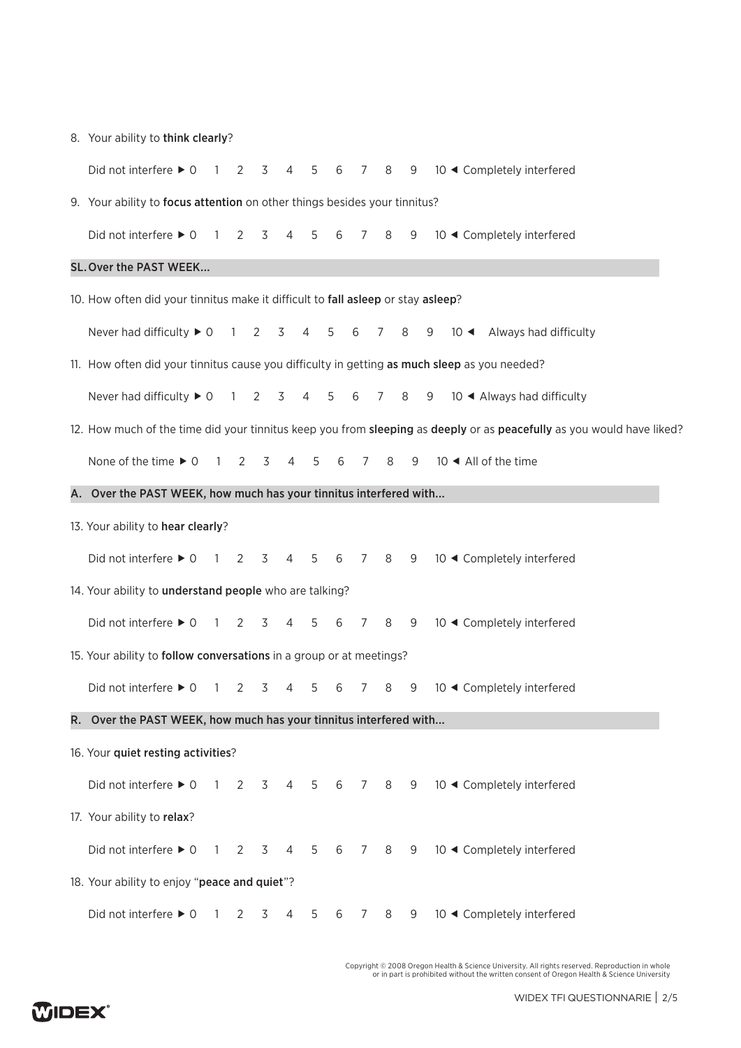|  |  |  |  |  | 8. Your ability to think clearly? |
|--|--|--|--|--|-----------------------------------|
|--|--|--|--|--|-----------------------------------|

| Did not interfere $\blacktriangleright$ 0                                                    |  | $\overline{1}$ | 2              | 3 | 4               | 5              | 6 | $7^{\circ}$ | 8 | 9 |   | 10 ◀ Completely interfered                                                                                            |  |
|----------------------------------------------------------------------------------------------|--|----------------|----------------|---|-----------------|----------------|---|-------------|---|---|---|-----------------------------------------------------------------------------------------------------------------------|--|
| 9. Your ability to focus attention on other things besides your tinnitus?                    |  |                |                |   |                 |                |   |             |   |   |   |                                                                                                                       |  |
| Did not interfere $\triangleright$ 0                                                         |  | $\overline{1}$ | 2              | 3 | 4               | 5              | 6 | 7           | 8 | 9 |   | 10 ◀ Completely interfered                                                                                            |  |
| SL. Over the PAST WEEK                                                                       |  |                |                |   |                 |                |   |             |   |   |   |                                                                                                                       |  |
| 10. How often did your tinnitus make it difficult to fall asleep or stay asleep?             |  |                |                |   |                 |                |   |             |   |   |   |                                                                                                                       |  |
| Never had difficulty $\triangleright$ 0                                                      |  |                | $1\quad 2$     |   | 3               | 4              | 5 | 6           | 7 | 8 | 9 | 10 ◀ Always had difficulty                                                                                            |  |
| 11. How often did your tinnitus cause you difficulty in getting as much sleep as you needed? |  |                |                |   |                 |                |   |             |   |   |   |                                                                                                                       |  |
| Never had difficulty $\triangleright$ 0                                                      |  |                | $\overline{1}$ | 2 | 3               | 4              | 5 | 6           | 7 | 8 | 9 | 10 ◀ Always had difficulty                                                                                            |  |
|                                                                                              |  |                |                |   |                 |                |   |             |   |   |   | 12. How much of the time did your tinnitus keep you from sleeping as deeply or as peacefully as you would have liked? |  |
| None of the time $\triangleright$ 0                                                          |  | $1\quad 2$     |                | 3 | 4               | 5              | 6 | 7           | 8 | 9 |   | 10 ◀ All of the time                                                                                                  |  |
| A. Over the PAST WEEK, how much has your tinnitus interfered with                            |  |                |                |   |                 |                |   |             |   |   |   |                                                                                                                       |  |
| 13. Your ability to hear clearly?                                                            |  |                |                |   |                 |                |   |             |   |   |   |                                                                                                                       |  |
| Did not interfere $\triangleright$ 0 1 2                                                     |  |                |                | 3 | 4               | 5 <sub>5</sub> | 6 | 7 8         |   | 9 |   | 10 ◀ Completely interfered                                                                                            |  |
| 14. Your ability to understand people who are talking?                                       |  |                |                |   |                 |                |   |             |   |   |   |                                                                                                                       |  |
| Did not interfere $\blacktriangleright$ 0                                                    |  | $\overline{1}$ | 2              | 3 | 4               | 5              | 6 | 7           | 8 | 9 |   | 10 ◀ Completely interfered                                                                                            |  |
| 15. Your ability to follow conversations in a group or at meetings?                          |  |                |                |   |                 |                |   |             |   |   |   |                                                                                                                       |  |
| Did not interfere $\blacktriangleright$ 0                                                    |  | - 1            | 2              | 3 | 4               | 5              | 6 | 7           | 8 | 9 |   | 10 ◀ Completely interfered                                                                                            |  |
|                                                                                              |  |                |                |   |                 |                |   |             |   |   |   |                                                                                                                       |  |
| R. Over the PAST WEEK, how much has your tinnitus interfered with                            |  |                |                |   |                 |                |   |             |   |   |   |                                                                                                                       |  |
| 16. Your quiet resting activities?                                                           |  |                |                |   |                 |                |   |             |   |   |   |                                                                                                                       |  |
| Did not interfere $\blacktriangleright$ 0                                                    |  | $\overline{1}$ | 2              | 3 | $4\overline{ }$ | 5              |   | 6 7         | 8 | 9 |   | 10 ◀ Completely interfered                                                                                            |  |
| 17. Your ability to relax?                                                                   |  |                |                |   |                 |                |   |             |   |   |   |                                                                                                                       |  |
| Did not interfere $\blacktriangleright$ 0                                                    |  | $\overline{1}$ | $\overline{2}$ | 3 | 4               | 5              | 6 | 7           | 8 | 9 |   | 10 ◀ Completely interfered                                                                                            |  |
| 18. Your ability to enjoy "peace and quiet"?                                                 |  |                |                |   |                 |                |   |             |   |   |   |                                                                                                                       |  |
| Did not interfere $\triangleright$ 0 1                                                       |  |                | 2              | 3 | 4               | 5              | 6 | 7           | 8 | 9 |   | 10 ◀ Completely interfered                                                                                            |  |

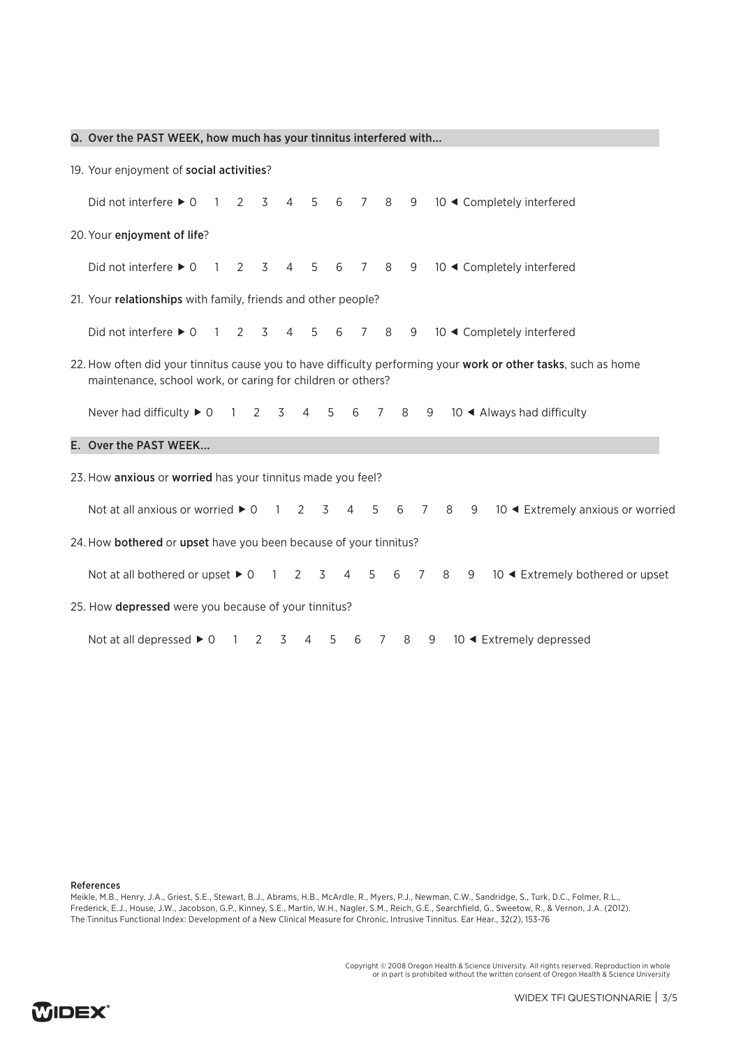|                                                                                                                                                                               | Q. Over the PAST WEEK, how much has your tinnitus interfered with                                                                                                       |  |  |  |  |  |  |  |
|-------------------------------------------------------------------------------------------------------------------------------------------------------------------------------|-------------------------------------------------------------------------------------------------------------------------------------------------------------------------|--|--|--|--|--|--|--|
|                                                                                                                                                                               | 19. Your enjoyment of social activities?                                                                                                                                |  |  |  |  |  |  |  |
|                                                                                                                                                                               | Did not interfere $\blacktriangleright$ 0<br>3<br>$\overline{4}$<br>5 6<br>$7\overline{ }$<br>8<br>9<br>10 ◀ Completely interfered<br>$\mathbf{1}$<br>2                 |  |  |  |  |  |  |  |
| 20. Your enjoyment of life?                                                                                                                                                   |                                                                                                                                                                         |  |  |  |  |  |  |  |
|                                                                                                                                                                               | Did not interfere $\blacktriangleright$ 0<br>2<br>3<br>$\overline{4}$<br>5<br>6<br>8<br>9<br>10 ◀ Completely interfered<br>7<br>1                                       |  |  |  |  |  |  |  |
|                                                                                                                                                                               | 21. Your relationships with family, friends and other people?                                                                                                           |  |  |  |  |  |  |  |
|                                                                                                                                                                               | Did not interfere $\blacktriangleright$ 0<br>10 ◀ Completely interfered<br>2<br>3<br>$\overline{4}$<br>5<br>6<br>8<br>9<br>1<br>7                                       |  |  |  |  |  |  |  |
| 22. How often did your tinnitus cause you to have difficulty performing your work or other tasks, such as home<br>maintenance, school work, or caring for children or others? |                                                                                                                                                                         |  |  |  |  |  |  |  |
|                                                                                                                                                                               | Never had difficulty $\triangleright$ 0<br>5<br>6<br>10 ◀ Always had difficulty<br>$\overline{1}$<br>2<br>3<br>$\overline{4}$<br>$\overline{7}$<br>8<br>9               |  |  |  |  |  |  |  |
|                                                                                                                                                                               | E. Over the PAST WEEK                                                                                                                                                   |  |  |  |  |  |  |  |
| 23. How anxious or worried has your tinnitus made you feel?                                                                                                                   |                                                                                                                                                                         |  |  |  |  |  |  |  |
|                                                                                                                                                                               | Not at all anxious or worried $\triangleright$ 0<br>2<br>3<br>$\overline{4}$<br>5<br>8<br>10 ◀ Extremely anxious or worried<br>$\overline{1}$<br>6<br>7<br>9            |  |  |  |  |  |  |  |
|                                                                                                                                                                               | 24. How bothered or upset have you been because of your tinnitus?                                                                                                       |  |  |  |  |  |  |  |
|                                                                                                                                                                               | Not at all bothered or upset $\triangleright$ 0<br>3<br>$\overline{4}$<br>5<br>6<br>$\overline{7}$<br>8<br>10 ◀ Extremely bothered or upset<br>$\overline{1}$<br>2<br>9 |  |  |  |  |  |  |  |
|                                                                                                                                                                               | 25. How depressed were you because of your tinnitus?                                                                                                                    |  |  |  |  |  |  |  |
|                                                                                                                                                                               | Not at all depressed $\triangleright$ 0<br>10 ◀ Extremely depressed<br>3<br>8<br>2<br>4<br>5<br>6<br>7<br>9<br>1                                                        |  |  |  |  |  |  |  |

References

Meikle, M.B., Henry, J.A., Griest, S.E., Stewart, B.J., Abrams, H.B., McArdle, R., Myers, P.J., Newman, C.W., Sandridge, S., Turk, D.C., Folmer, R.L., Frederick, E.J., House, J.W., Jacobson, G.P., Kinney, S.E., Martin, W.H., Nagler, S.M., Reich, G.E., Searchfield, G., Sweetow, R., & Vernon, J.A. (2012). The Tinnitus Functional Index: Development of a New Clinical Measure for Chronic, Intrusive Tinnitus. Ear Hear., 32(2), 153-76

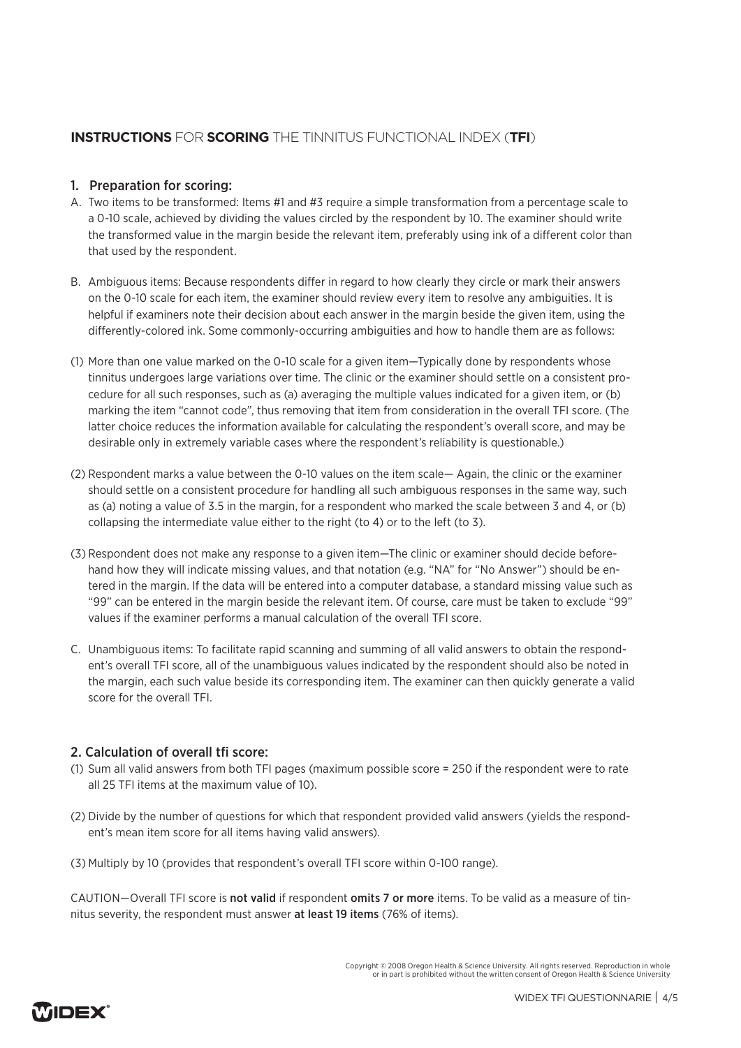# **INSTRUCTIONS** FOR **SCORING** THE TINNITUS FUNCTIONAL INDEX (**TFI**)

### 1. Preparation for scoring:

- A. Two items to be transformed: Items #1 and #3 require a simple transformation from a percentage scale to a 0-10 scale, achieved by dividing the values circled by the respondent by 10. The examiner should write the transformed value in the margin beside the relevant item, preferably using ink of a different color than that used by the respondent.
- B. Ambiguous items: Because respondents differ in regard to how clearly they circle or mark their answers on the 0-10 scale for each item, the examiner should review every item to resolve any ambiguities. It is helpful if examiners note their decision about each answer in the margin beside the given item, using the differently-colored ink. Some commonly-occurring ambiguities and how to handle them are as follows:
- (1) More than one value marked on the 0-10 scale for a given item—Typically done by respondents whose tinnitus undergoes large variations over time. The clinic or the examiner should settle on a consistent procedure for all such responses, such as (a) averaging the multiple values indicated for a given item, or (b) marking the item "cannot code", thus removing that item from consideration in the overall TFI score. (The latter choice reduces the information available for calculating the respondent's overall score, and may be desirable only in extremely variable cases where the respondent's reliability is questionable.)
- (2) Respondent marks a value between the 0-10 values on the item scale— Again, the clinic or the examiner should settle on a consistent procedure for handling all such ambiguous responses in the same way, such as (a) noting a value of 3.5 in the margin, for a respondent who marked the scale between 3 and 4, or (b) collapsing the intermediate value either to the right (to 4) or to the left (to 3).
- (3) Respondent does not make any response to a given item—The clinic or examiner should decide beforehand how they will indicate missing values, and that notation (e.g. "NA" for "No Answer") should be entered in the margin. If the data will be entered into a computer database, a standard missing value such as "99" can be entered in the margin beside the relevant item. Of course, care must be taken to exclude "99" values if the examiner performs a manual calculation of the overall TFI score.
- C. Unambiguous items: To facilitate rapid scanning and summing of all valid answers to obtain the respondent's overall TFI score, all of the unambiguous values indicated by the respondent should also be noted in the margin, each such value beside its corresponding item. The examiner can then quickly generate a valid score for the overall TFI.

# 2. Calculation of overall tfi score:

- (1) Sum all valid answers from both TFI pages (maximum possible score = 250 if the respondent were to rate all 25 TFI items at the maximum value of 10).
- (2) Divide by the number of questions for which that respondent provided valid answers (yields the respondent's mean item score for all items having valid answers).
- (3) Multiply by 10 (provides that respondent's overall TFI score within 0-100 range).

CAUTION—Overall TFI score is not valid if respondent omits 7 or more items. To be valid as a measure of tinnitus severity, the respondent must answer at least 19 items (76% of items).